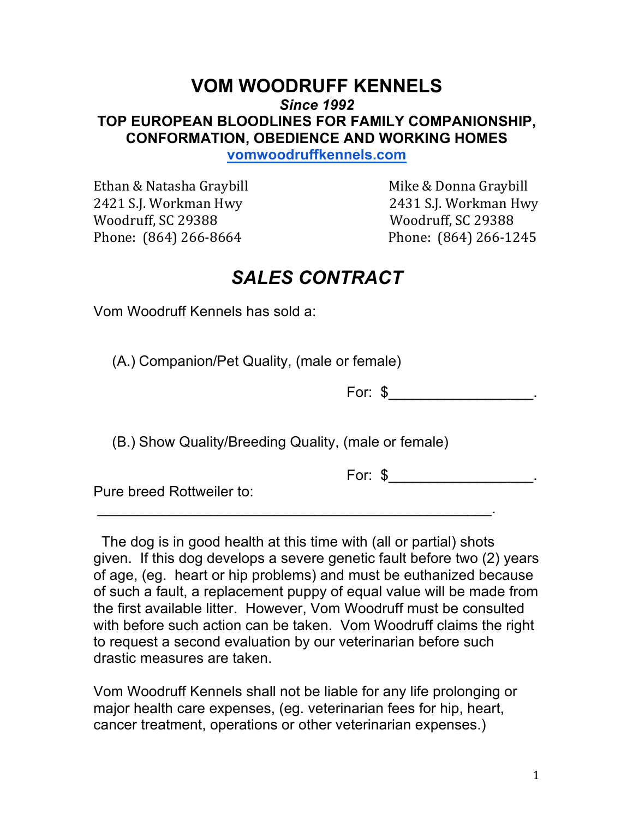## **VOM WOODRUFF KENNELS** *Since 1992* **TOP EUROPEAN BLOODLINES FOR FAMILY COMPANIONSHIP, CONFORMATION, OBEDIENCE AND WORKING HOMES**

**vomwoodruffkennels.com**

Ethan & Natasha Graybill **Ethan** & Natasha Graybill *Mike & Donna Graybill* 2421 S.I. Workman Hwy 2431 S.I. Workman Hwy Woodruff, SC 29388 Woodruff, SC 29388 Phone: (864) 266-8664 Phone: (864) 266-1245

## *SALES CONTRACT*

Vom Woodruff Kennels has sold a:

(A.) Companion/Pet Quality, (male or female)

For: \$\_\_\_\_\_\_\_\_\_\_\_\_\_\_\_\_\_\_\_\_\_\_\_.

(B.) Show Quality/Breeding Quality, (male or female)

 $\mathcal{L}_\text{max}$  and  $\mathcal{L}_\text{max}$  and  $\mathcal{L}_\text{max}$  and  $\mathcal{L}_\text{max}$  and  $\mathcal{L}_\text{max}$ 

For: \$\_\_\_\_\_\_\_\_\_\_\_\_\_\_\_\_\_\_\_\_\_\_\_.

Pure breed Rottweiler to:

The dog is in good health at this time with (all or partial) shots given. If this dog develops a severe genetic fault before two (2) years of age, (eg. heart or hip problems) and must be euthanized because of such a fault, a replacement puppy of equal value will be made from the first available litter. However, Vom Woodruff must be consulted with before such action can be taken. Vom Woodruff claims the right to request a second evaluation by our veterinarian before such drastic measures are taken.

Vom Woodruff Kennels shall not be liable for any life prolonging or major health care expenses, (eg. veterinarian fees for hip, heart, cancer treatment, operations or other veterinarian expenses.)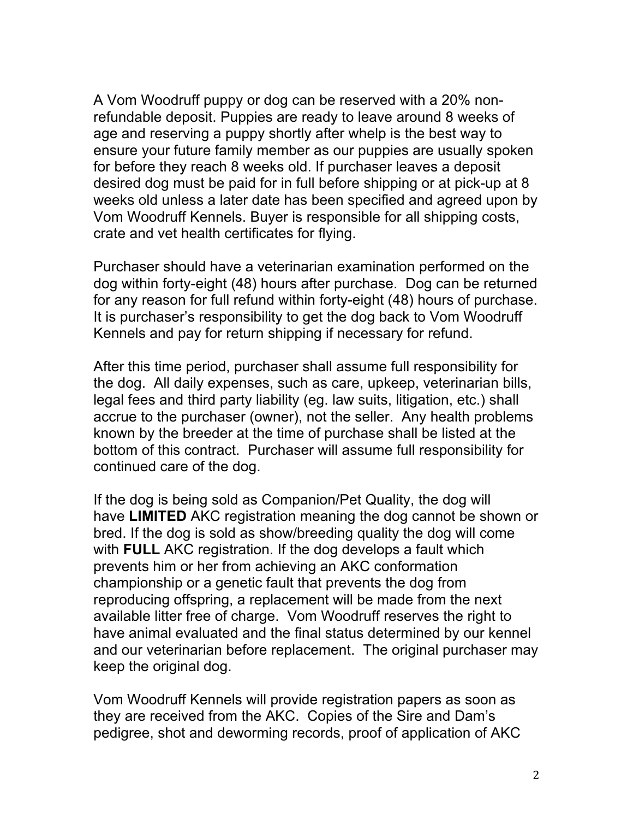A Vom Woodruff puppy or dog can be reserved with a 20% nonrefundable deposit. Puppies are ready to leave around 8 weeks of age and reserving a puppy shortly after whelp is the best way to ensure your future family member as our puppies are usually spoken for before they reach 8 weeks old. If purchaser leaves a deposit desired dog must be paid for in full before shipping or at pick-up at 8 weeks old unless a later date has been specified and agreed upon by Vom Woodruff Kennels. Buyer is responsible for all shipping costs, crate and vet health certificates for flying.

Purchaser should have a veterinarian examination performed on the dog within forty-eight (48) hours after purchase. Dog can be returned for any reason for full refund within forty-eight (48) hours of purchase. It is purchaser's responsibility to get the dog back to Vom Woodruff Kennels and pay for return shipping if necessary for refund.

After this time period, purchaser shall assume full responsibility for the dog. All daily expenses, such as care, upkeep, veterinarian bills, legal fees and third party liability (eg. law suits, litigation, etc.) shall accrue to the purchaser (owner), not the seller. Any health problems known by the breeder at the time of purchase shall be listed at the bottom of this contract. Purchaser will assume full responsibility for continued care of the dog.

If the dog is being sold as Companion/Pet Quality, the dog will have **LIMITED** AKC registration meaning the dog cannot be shown or bred. If the dog is sold as show/breeding quality the dog will come with **FULL** AKC registration. If the dog develops a fault which prevents him or her from achieving an AKC conformation championship or a genetic fault that prevents the dog from reproducing offspring, a replacement will be made from the next available litter free of charge. Vom Woodruff reserves the right to have animal evaluated and the final status determined by our kennel and our veterinarian before replacement. The original purchaser may keep the original dog.

Vom Woodruff Kennels will provide registration papers as soon as they are received from the AKC. Copies of the Sire and Dam's pedigree, shot and deworming records, proof of application of AKC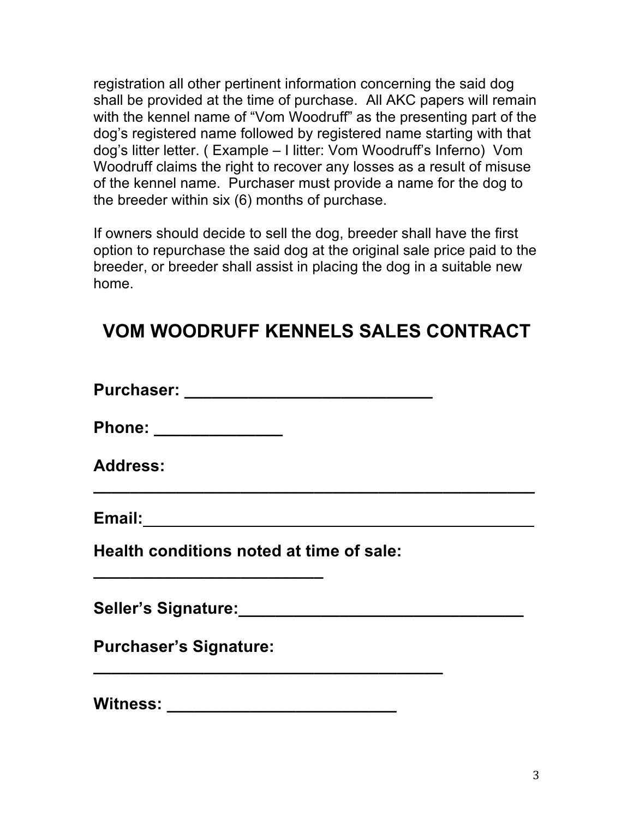registration all other pertinent information concerning the said dog shall be provided at the time of purchase. All AKC papers will remain with the kennel name of "Vom Woodruff" as the presenting part of the dog's registered name followed by registered name starting with that dog's litter letter. ( Example – I litter: Vom Woodruff's Inferno) Vom Woodruff claims the right to recover any losses as a result of misuse of the kennel name. Purchaser must provide a name for the dog to the breeder within six (6) months of purchase.

If owners should decide to sell the dog, breeder shall have the first option to repurchase the said dog at the original sale price paid to the breeder, or breeder shall assist in placing the dog in a suitable new home.

## **VOM WOODRUFF KENNELS SALES CONTRACT**

| Phone: ______________                                                                                                                                              |  |
|--------------------------------------------------------------------------------------------------------------------------------------------------------------------|--|
| <b>Address:</b>                                                                                                                                                    |  |
| Email: 2008 2009 2010 2021 2022 2023 2024 2022 2023 2024 2022 2023 2024 2022 2023 2024 2025 2026 2027 2027 20                                                      |  |
| Health conditions noted at time of sale:<br><u> 1989 - Johann John Stein, markin fan it ferskearre fan it ferskearre fan it ferskearre fan it ferskearre fan i</u> |  |
|                                                                                                                                                                    |  |
| <b>Purchaser's Signature:</b>                                                                                                                                      |  |
| <b>Witness:</b>                                                                                                                                                    |  |